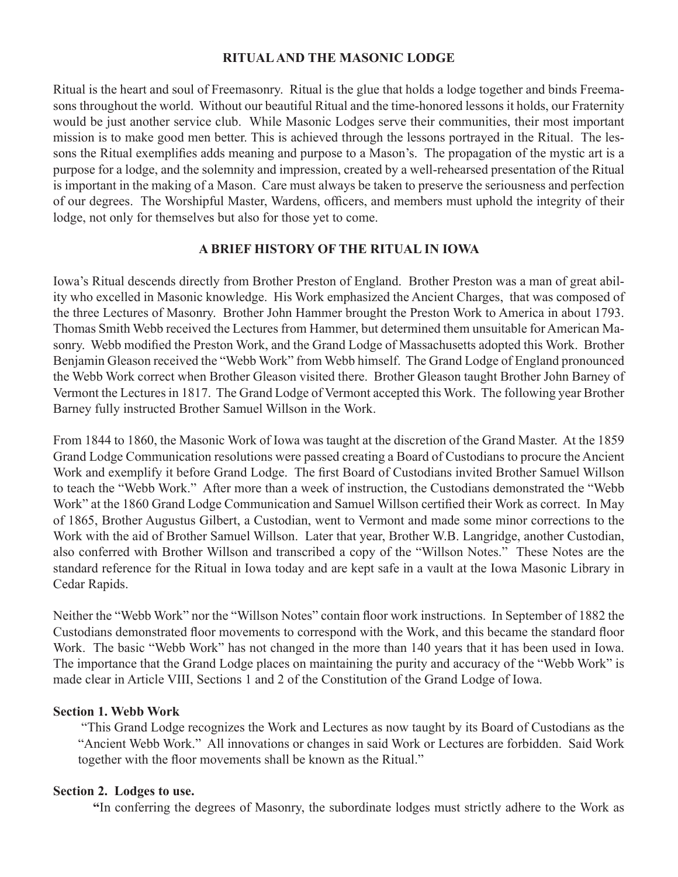# **RITUAL AND THE MASONIC LODGE**

Ritual is the heart and soul of Freemasonry. Ritual is the glue that holds a lodge together and binds Freemasons throughout the world. Without our beautiful Ritual and the time-honored lessons it holds, our Fraternity would be just another service club. While Masonic Lodges serve their communities, their most important mission is to make good men better. This is achieved through the lessons portrayed in the Ritual. The lessons the Ritual exemplifies adds meaning and purpose to a Mason's. The propagation of the mystic art is a purpose for a lodge, and the solemnity and impression, created by a well-rehearsed presentation of the Ritual is important in the making of a Mason. Care must always be taken to preserve the seriousness and perfection of our degrees. The Worshipful Master, Wardens, officers, and members must uphold the integrity of their lodge, not only for themselves but also for those yet to come.

# **A BRIEF HISTORY OF THE RITUAL IN IOWA**

Iowa's Ritual descends directly from Brother Preston of England. Brother Preston was a man of great ability who excelled in Masonic knowledge. His Work emphasized the Ancient Charges, that was composed of the three Lectures of Masonry. Brother John Hammer brought the Preston Work to America in about 1793. Thomas Smith Webb received the Lectures from Hammer, but determined them unsuitable for American Masonry. Webb modified the Preston Work, and the Grand Lodge of Massachusetts adopted this Work. Brother Benjamin Gleason received the "Webb Work" from Webb himself. The Grand Lodge of England pronounced the Webb Work correct when Brother Gleason visited there. Brother Gleason taught Brother John Barney of Vermont the Lectures in 1817. The Grand Lodge of Vermont accepted this Work. The following year Brother Barney fully instructed Brother Samuel Willson in the Work.

From 1844 to 1860, the Masonic Work of Iowa was taught at the discretion of the Grand Master. At the 1859 Grand Lodge Communication resolutions were passed creating a Board of Custodians to procure the Ancient Work and exemplify it before Grand Lodge. The first Board of Custodians invited Brother Samuel Willson to teach the "Webb Work." After more than a week of instruction, the Custodians demonstrated the "Webb Work" at the 1860 Grand Lodge Communication and Samuel Willson certified their Work as correct. In May of 1865, Brother Augustus Gilbert, a Custodian, went to Vermont and made some minor corrections to the Work with the aid of Brother Samuel Willson. Later that year, Brother W.B. Langridge, another Custodian, also conferred with Brother Willson and transcribed a copy of the "Willson Notes." These Notes are the standard reference for the Ritual in Iowa today and are kept safe in a vault at the Iowa Masonic Library in Cedar Rapids.

Neither the "Webb Work" nor the "Willson Notes" contain floor work instructions. In September of 1882 the Custodians demonstrated floor movements to correspond with the Work, and this became the standard floor Work. The basic "Webb Work" has not changed in the more than 140 years that it has been used in Iowa. The importance that the Grand Lodge places on maintaining the purity and accuracy of the "Webb Work" is made clear in Article VIII, Sections 1 and 2 of the Constitution of the Grand Lodge of Iowa.

### **Section 1. Webb Work**

 "This Grand Lodge recognizes the Work and Lectures as now taught by its Board of Custodians as the "Ancient Webb Work." All innovations or changes in said Work or Lectures are forbidden. Said Work together with the floor movements shall be known as the Ritual."

### **Section 2. Lodges to use.**

**"**In conferring the degrees of Masonry, the subordinate lodges must strictly adhere to the Work as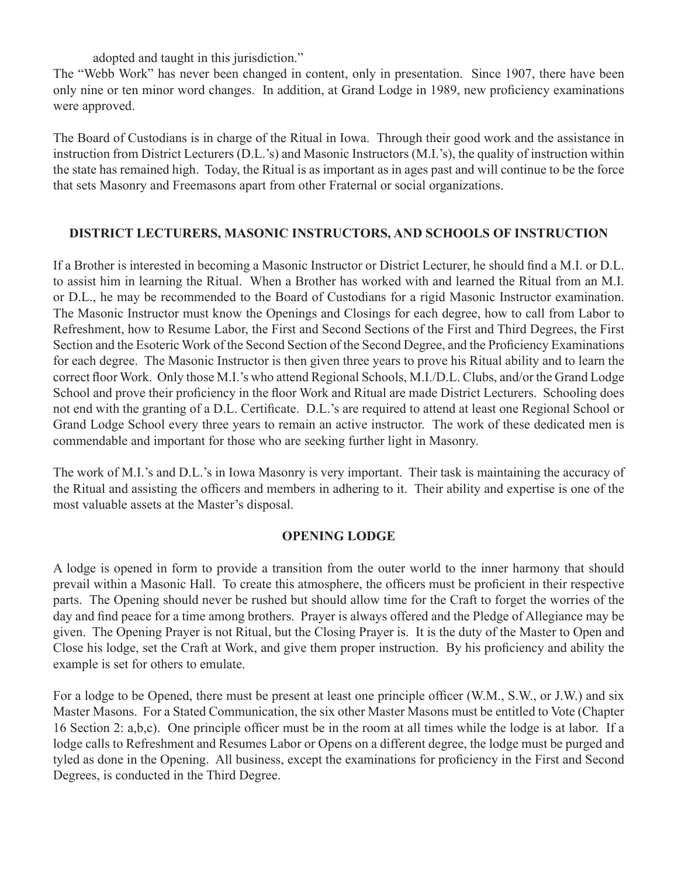adopted and taught in this jurisdiction."

The "Webb Work" has never been changed in content, only in presentation. Since 1907, there have been only nine or ten minor word changes. In addition, at Grand Lodge in 1989, new proficiency examinations were approved.

The Board of Custodians is in charge of the Ritual in Iowa. Through their good work and the assistance in instruction from District Lecturers (D.L.'s) and Masonic Instructors (M.I.'s), the quality of instruction within the state has remained high. Today, the Ritual is as important as in ages past and will continue to be the force that sets Masonry and Freemasons apart from other Fraternal or social organizations.

# **DISTRICT LECTURERS, MASONIC INSTRUCTORS, AND SCHOOLS OF INSTRUCTION**

If a Brother is interested in becoming a Masonic Instructor or District Lecturer, he should find a M.I. or D.L. to assist him in learning the Ritual. When a Brother has worked with and learned the Ritual from an M.I. or D.L., he may be recommended to the Board of Custodians for a rigid Masonic Instructor examination. The Masonic Instructor must know the Openings and Closings for each degree, how to call from Labor to Refreshment, how to Resume Labor, the First and Second Sections of the First and Third Degrees, the First Section and the Esoteric Work of the Second Section of the Second Degree, and the Proficiency Examinations for each degree. The Masonic Instructor is then given three years to prove his Ritual ability and to learn the correct floor Work. Only those M.I.'s who attend Regional Schools, M.I./D.L. Clubs, and/or the Grand Lodge School and prove their proficiency in the floor Work and Ritual are made District Lecturers. Schooling does not end with the granting of a D.L. Certificate. D.L.'s are required to attend at least one Regional School or Grand Lodge School every three years to remain an active instructor. The work of these dedicated men is commendable and important for those who are seeking further light in Masonry.

The work of M.I.'s and D.L.'s in Iowa Masonry is very important. Their task is maintaining the accuracy of the Ritual and assisting the officers and members in adhering to it. Their ability and expertise is one of the most valuable assets at the Master's disposal.

### **OPENING LODGE**

A lodge is opened in form to provide a transition from the outer world to the inner harmony that should prevail within a Masonic Hall. To create this atmosphere, the officers must be proficient in their respective parts. The Opening should never be rushed but should allow time for the Craft to forget the worries of the day and find peace for a time among brothers. Prayer is always offered and the Pledge of Allegiance may be given. The Opening Prayer is not Ritual, but the Closing Prayer is. It is the duty of the Master to Open and Close his lodge, set the Craft at Work, and give them proper instruction. By his proficiency and ability the example is set for others to emulate.

For a lodge to be Opened, there must be present at least one principle officer (W.M., S.W., or J.W.) and six Master Masons. For a Stated Communication, the six other Master Masons must be entitled to Vote (Chapter 16 Section 2: a,b,c). One principle officer must be in the room at all times while the lodge is at labor. If a lodge calls to Refreshment and Resumes Labor or Opens on a different degree, the lodge must be purged and tyled as done in the Opening. All business, except the examinations for proficiency in the First and Second Degrees, is conducted in the Third Degree.